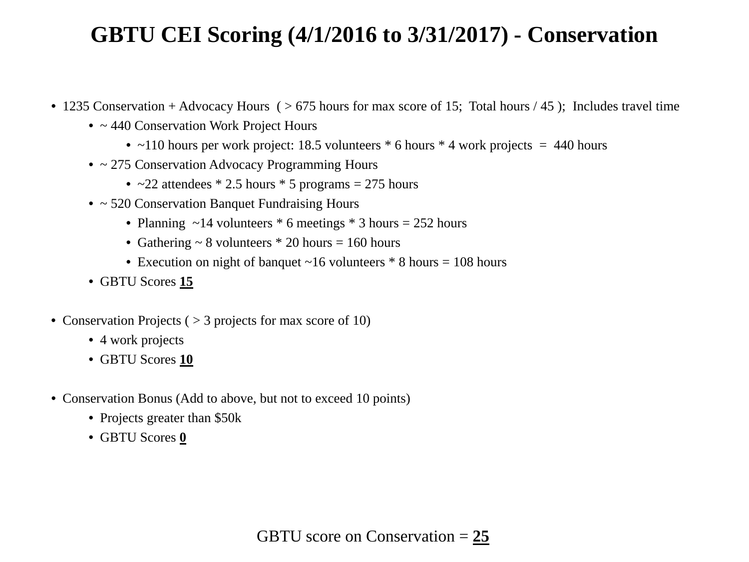## **GBTU CEI Scoring (4/1/2016 to 3/31/2017) - Conservation**

- 1235 Conservation + Advocacy Hours ( $> 675$  hours for max score of 15; Total hours / 45); Includes travel time
	- ~ 440 Conservation Work Project Hours
		- $\sim$ 110 hours per work project: 18.5 volunteers  $*$  6 hours  $*$  4 work projects = 440 hours
	- ~ 275 Conservation Advocacy Programming Hours
		- $\sim$  22 attendees  $*$  2.5 hours  $*$  5 programs = 275 hours
	- ~ 520 Conservation Banquet Fundraising Hours
		- Planning  $\sim$  14 volunteers  $*$  6 meetings  $*$  3 hours = 252 hours
		- Gathering  $\sim 8$  volunteers  $*$  20 hours = 160 hours
		- Execution on night of banquet  $\sim$  16 volunteers  $*$  8 hours = 108 hours
	- GBTU Scores **15**
- Conservation Projects ( $>$  3 projects for max score of 10)
	- 4 work projects
	- GBTU Scores **10**
- Conservation Bonus (Add to above, but not to exceed 10 points)
	- Projects greater than \$50k
	- GBTU Scores **0**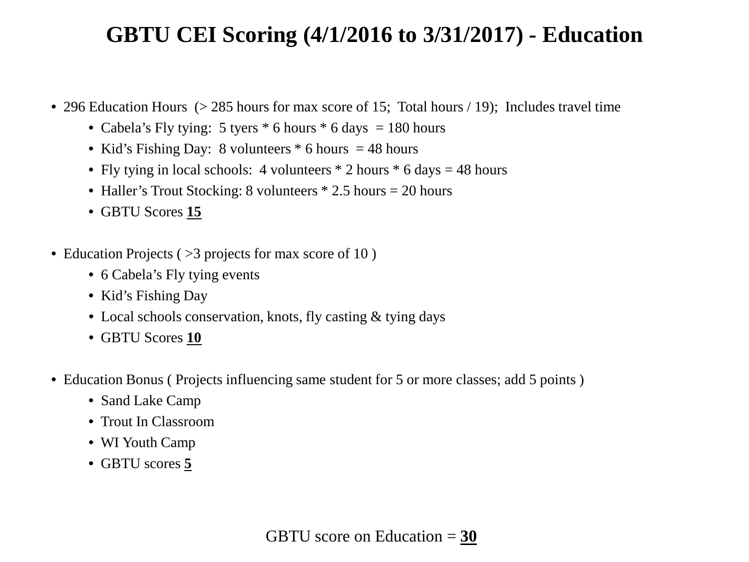### **GBTU CEI Scoring (4/1/2016 to 3/31/2017) - Education**

- 296 Education Hours (> 285 hours for max score of 15; Total hours / 19); Includes travel time
	- Cabela's Fly tying: 5 tyers  $*$  6 hours  $*$  6 days = 180 hours
	- Kid's Fishing Day: 8 volunteers  $*$  6 hours = 48 hours
	- Fly tying in local schools: 4 volunteers  $*$  2 hours  $*$  6 days = 48 hours
	- Haller's Trout Stocking: 8 volunteers \* 2.5 hours = 20 hours
	- GBTU Scores **15**
- Education Projects ( $>3$  projects for max score of 10)
	- 6 Cabela's Fly tying events
	- Kid's Fishing Day
	- Local schools conservation, knots, fly casting & tying days
	- GBTU Scores **10**
- Education Bonus (Projects influencing same student for 5 or more classes; add 5 points)
	- Sand Lake Camp
	- Trout In Classroom
	- WI Youth Camp
	- GBTU scores **5**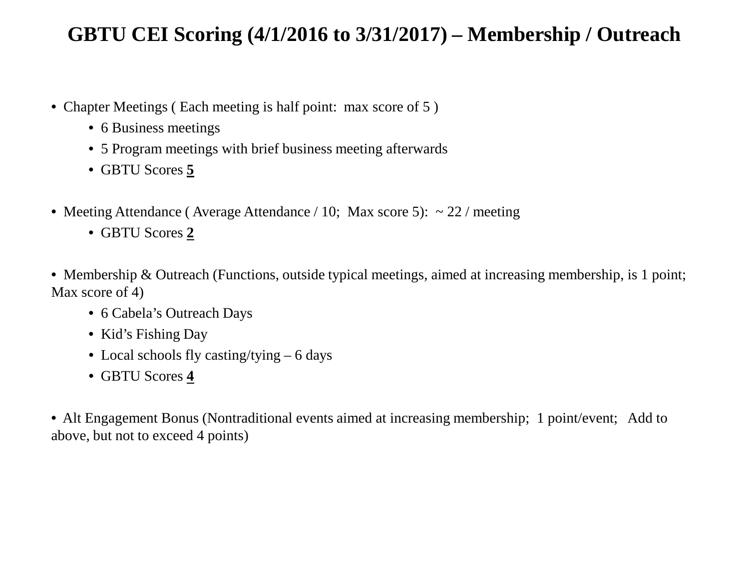#### **GBTU CEI Scoring (4/1/2016 to 3/31/2017) – Membership / Outreach**

- Chapter Meetings (Each meeting is half point: max score of 5)
	- 6 Business meetings
	- 5 Program meetings with brief business meeting afterwards
	- GBTU Scores **5**
- Meeting Attendance (Average Attendance / 10; Max score 5):  $\sim$  22 / meeting
	- GBTU Scores **2**
- Membership & Outreach (Functions, outside typical meetings, aimed at increasing membership, is 1 point; Max score of 4)
	- 6 Cabela's Outreach Days
	- Kid's Fishing Day
	- Local schools fly casting/tying 6 days
	- GBTU Scores **4**

• Alt Engagement Bonus (Nontraditional events aimed at increasing membership; 1 point/event; Add to above, but not to exceed 4 points)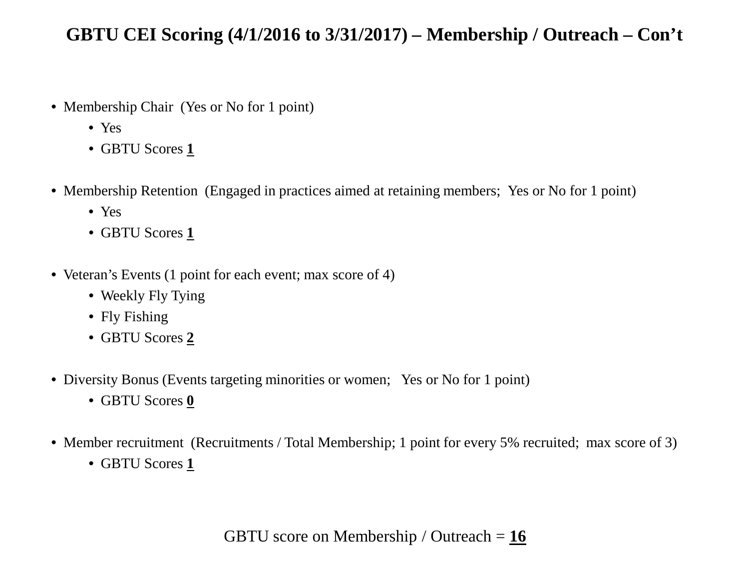#### **GBTU CEI Scoring (4/1/2016 to 3/31/2017) – Membership / Outreach – Con't**

- Membership Chair (Yes or No for 1 point)
	- Yes
	- GBTU Scores **1**
- Membership Retention (Engaged in practices aimed at retaining members; Yes or No for 1 point)
	- Yes
	- GBTU Scores **1**
- Veteran's Events (1 point for each event; max score of 4)
	- Weekly Fly Tying
	- Fly Fishing
	- GBTU Scores **2**
- Diversity Bonus (Events targeting minorities or women; Yes or No for 1 point)
	- GBTU Scores **0**
- Member recruitment (Recruitments / Total Membership; 1 point for every 5% recruited; max score of 3)
	- GBTU Scores **1**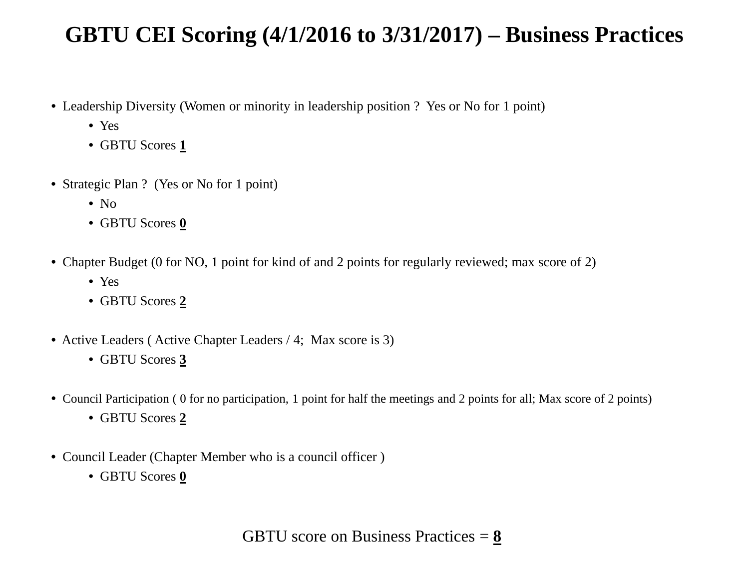## **GBTU CEI Scoring (4/1/2016 to 3/31/2017) – Business Practices**

- Leadership Diversity (Women or minority in leadership position ? Yes or No for 1 point)
	- Yes
	- GBTU Scores **1**
- Strategic Plan ? (Yes or No for 1 point)
	- $\bullet$  No
	- GBTU Scores **0**
- Chapter Budget (0 for NO, 1 point for kind of and 2 points for regularly reviewed; max score of 2)
	- Yes
	- GBTU Scores **2**
- Active Leaders (Active Chapter Leaders / 4; Max score is 3)
	- GBTU Scores **3**
- Council Participation ( 0 for no participation, 1 point for half the meetings and 2 points for all; Max score of 2 points)
	- GBTU Scores **2**
- Council Leader (Chapter Member who is a council officer )
	- GBTU Scores **0**

GBTU score on Business Practices = **8**